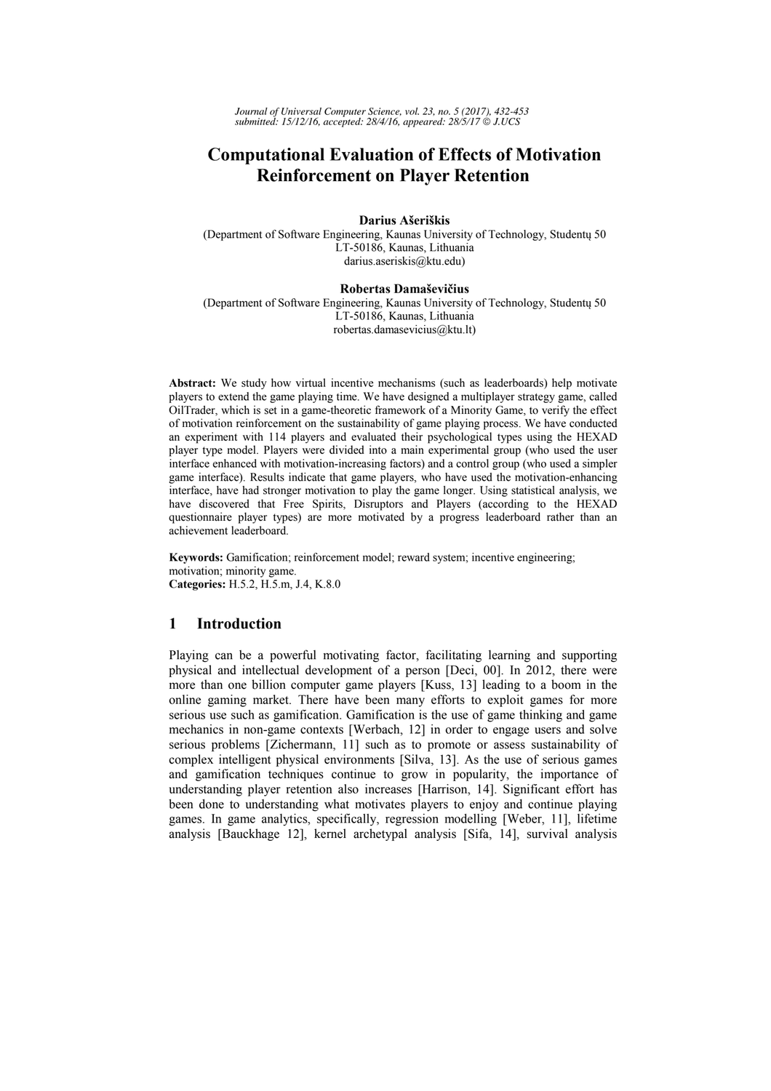*Journal of Universal Computer Science, vol. 23, no. 5 (2017), 432-453 submitted: 15/12/16, accepted: 28/4/16, appeared: 28/5/17* © *J.UCS*

# **Computational Evaluation of Effects of Motivation Reinforcement on Player Retention**

#### **Darius Ašeriškis**

(Department of Software Engineering, Kaunas University of Technology, Studentų 50 LT-50186, Kaunas, Lithuania darius.aseriskis@ktu.edu)

### **Robertas Damaševičius**

(Department of Software Engineering, Kaunas University of Technology, Studentų 50 LT-50186, Kaunas, Lithuania robertas.damasevicius@ktu.lt)

**Abstract:** We study how virtual incentive mechanisms (such as leaderboards) help motivate players to extend the game playing time. We have designed a multiplayer strategy game, called OilTrader, which is set in a game-theoretic framework of a Minority Game, to verify the effect of motivation reinforcement on the sustainability of game playing process. We have conducted an experiment with 114 players and evaluated their psychological types using the HEXAD player type model. Players were divided into a main experimental group (who used the user interface enhanced with motivation-increasing factors) and a control group (who used a simpler game interface). Results indicate that game players, who have used the motivation-enhancing interface, have had stronger motivation to play the game longer. Using statistical analysis, we have discovered that Free Spirits, Disruptors and Players (according to the HEXAD questionnaire player types) are more motivated by a progress leaderboard rather than an achievement leaderboard.

**Keywords:** Gamification; reinforcement model; reward system; incentive engineering; motivation; minority game. **Categories:** H.5.2, H.5.m, J.4, K.8.0

# **1 Introduction**

Playing can be a powerful motivating factor, facilitating learning and supporting physical and intellectual development of a person [Deci, 00]. In 2012, there were more than one billion computer game players [Kuss, 13] leading to a boom in the online gaming market. There have been many efforts to exploit games for more serious use such as gamification. Gamification is the use of game thinking and game mechanics in non-game contexts [Werbach, 12] in order to engage users and solve serious problems [Zichermann, 11] such as to promote or assess sustainability of complex intelligent physical environments [Silva, 13]. As the use of serious games and gamification techniques continue to grow in popularity, the importance of understanding player retention also increases [Harrison, 14]. Significant effort has been done to understanding what motivates players to enjoy and continue playing games. In game analytics, specifically, regression modelling [Weber, 11], lifetime analysis [Bauckhage 12], kernel archetypal analysis [Sifa, 14], survival analysis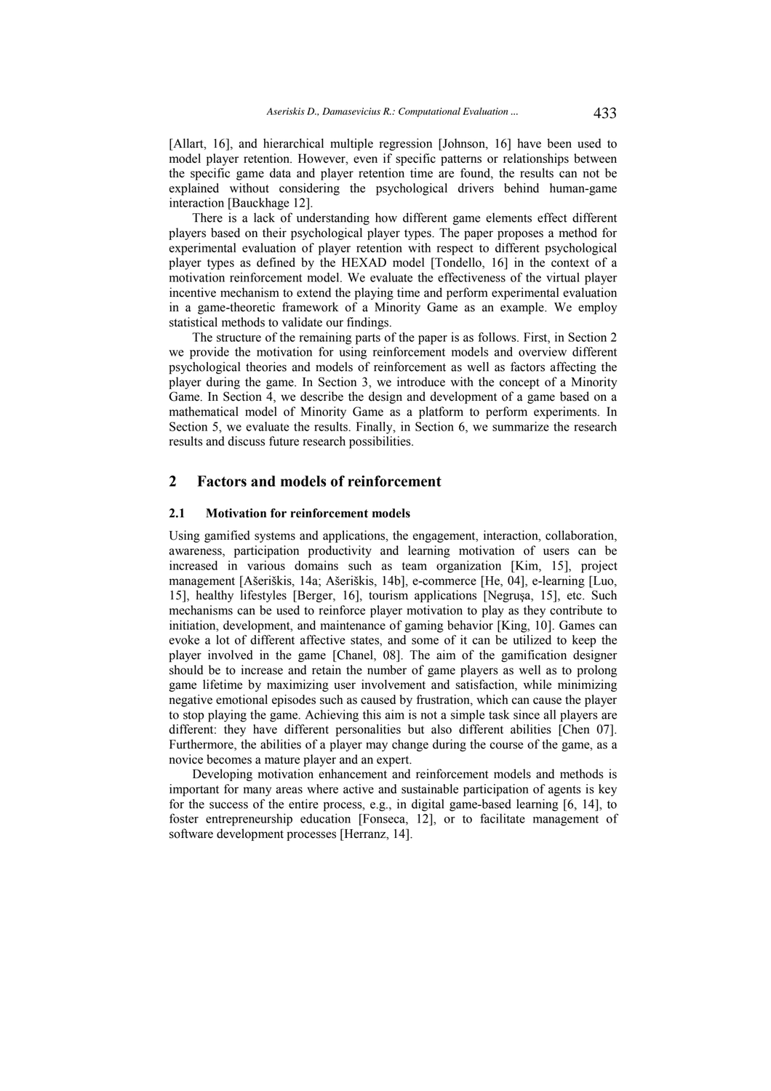[Allart, 16], and hierarchical multiple regression [Johnson, 16] have been used to model player retention. However, even if specific patterns or relationships between the specific game data and player retention time are found, the results can not be explained without considering the psychological drivers behind human-game interaction [Bauckhage 12].

There is a lack of understanding how different game elements effect different players based on their psychological player types. The paper proposes a method for experimental evaluation of player retention with respect to different psychological player types as defined by the HEXAD model [Tondello, 16] in the context of a motivation reinforcement model. We evaluate the effectiveness of the virtual player incentive mechanism to extend the playing time and perform experimental evaluation in a game-theoretic framework of a Minority Game as an example. We employ statistical methods to validate our findings.

The structure of the remaining parts of the paper is as follows. First, in Section 2 we provide the motivation for using reinforcement models and overview different psychological theories and models of reinforcement as well as factors affecting the player during the game. In Section 3, we introduce with the concept of a Minority Game. In Section 4, we describe the design and development of a game based on a mathematical model of Minority Game as a platform to perform experiments. In Section 5, we evaluate the results. Finally, in Section 6, we summarize the research results and discuss future research possibilities.

# **2 Factors and models of reinforcement**

#### **2.1 Motivation for reinforcement models**

Using gamified systems and applications, the engagement, interaction, collaboration, awareness, participation productivity and learning motivation of users can be increased in various domains such as team organization [Kim, 15], project management [Ašeriškis, 14a; Ašeriškis, 14b], e-commerce [He, 04], e-learning [Luo, 15], healthy lifestyles [Berger, 16], tourism applications [Negruşa, 15], etc. Such mechanisms can be used to reinforce player motivation to play as they contribute to initiation, development, and maintenance of gaming behavior [King, 10]. Games can evoke a lot of different affective states, and some of it can be utilized to keep the player involved in the game [Chanel, 08]. The aim of the gamification designer should be to increase and retain the number of game players as well as to prolong game lifetime by maximizing user involvement and satisfaction, while minimizing negative emotional episodes such as caused by frustration, which can cause the player to stop playing the game. Achieving this aim is not a simple task since all players are different: they have different personalities but also different abilities [Chen 07]. Furthermore, the abilities of a player may change during the course of the game, as a novice becomes a mature player and an expert.

Developing motivation enhancement and reinforcement models and methods is important for many areas where active and sustainable participation of agents is key for the success of the entire process, e.g., in digital game-based learning [6, 14], to foster entrepreneurship education [Fonseca, 12], or to facilitate management of software development processes [Herranz, 14].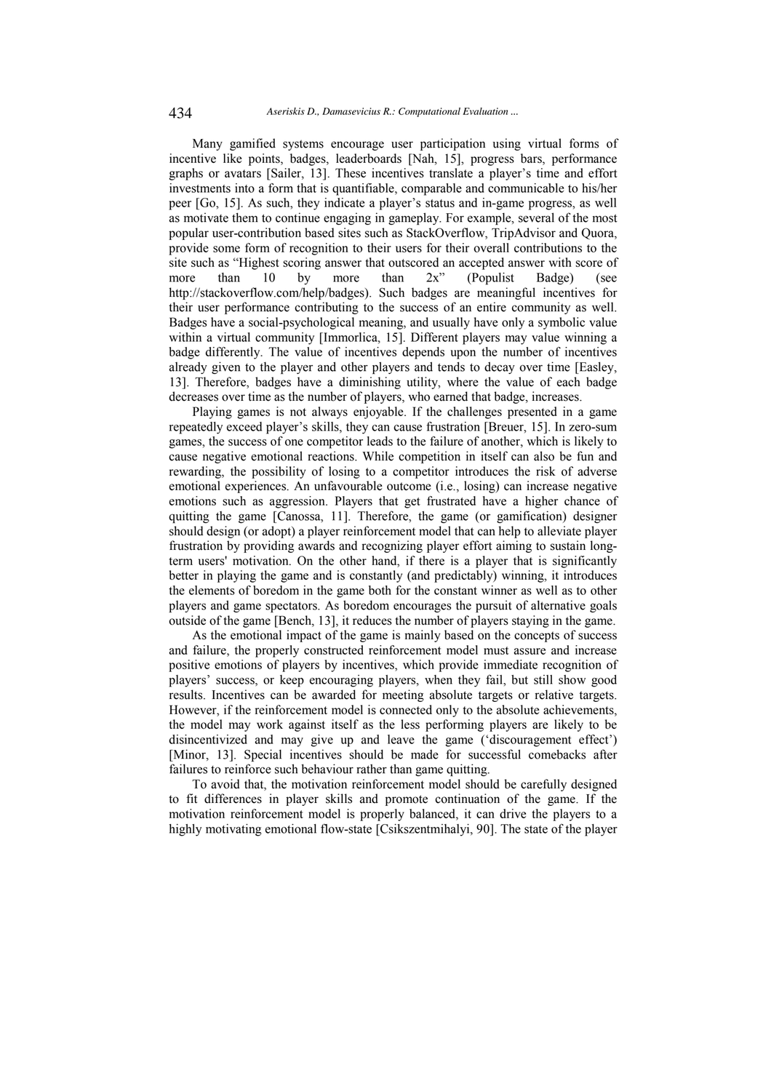Many gamified systems encourage user participation using virtual forms of incentive like points, badges, leaderboards [Nah, 15], progress bars, performance graphs or avatars [Sailer, 13]. These incentives translate a player's time and effort investments into a form that is quantifiable, comparable and communicable to his/her peer [Go, 15]. As such, they indicate a player's status and in-game progress, as well as motivate them to continue engaging in gameplay. For example, several of the most popular user-contribution based sites such as StackOverflow, TripAdvisor and Quora, provide some form of recognition to their users for their overall contributions to the site such as "Highest scoring answer that outscored an accepted answer with score of more than 10 by more than 2x" (Populist Badge) (see http://stackoverflow.com/help/badges). Such badges are meaningful incentives for their user performance contributing to the success of an entire community as well. Badges have a social-psychological meaning, and usually have only a symbolic value within a virtual community [Immorlica, 15]. Different players may value winning a badge differently. The value of incentives depends upon the number of incentives already given to the player and other players and tends to decay over time [Easley, 13]. Therefore, badges have a diminishing utility, where the value of each badge decreases over time as the number of players, who earned that badge, increases.

Playing games is not always enjoyable. If the challenges presented in a game repeatedly exceed player's skills, they can cause frustration [Breuer, 15]. In zero-sum games, the success of one competitor leads to the failure of another, which is likely to cause negative emotional reactions. While competition in itself can also be fun and rewarding, the possibility of losing to a competitor introduces the risk of adverse emotional experiences. An unfavourable outcome (i.e., losing) can increase negative emotions such as aggression. Players that get frustrated have a higher chance of quitting the game [Canossa, 11]. Therefore, the game (or gamification) designer should design (or adopt) a player reinforcement model that can help to alleviate player frustration by providing awards and recognizing player effort aiming to sustain longterm users' motivation. On the other hand, if there is a player that is significantly better in playing the game and is constantly (and predictably) winning, it introduces the elements of boredom in the game both for the constant winner as well as to other players and game spectators. As boredom encourages the pursuit of alternative goals outside of the game [Bench, 13], it reduces the number of players staying in the game.

As the emotional impact of the game is mainly based on the concepts of success and failure, the properly constructed reinforcement model must assure and increase positive emotions of players by incentives, which provide immediate recognition of players' success, or keep encouraging players, when they fail, but still show good results. Incentives can be awarded for meeting absolute targets or relative targets. However, if the reinforcement model is connected only to the absolute achievements, the model may work against itself as the less performing players are likely to be disincentivized and may give up and leave the game ('discouragement effect') [Minor, 13]. Special incentives should be made for successful comebacks after failures to reinforce such behaviour rather than game quitting.

To avoid that, the motivation reinforcement model should be carefully designed to fit differences in player skills and promote continuation of the game. If the motivation reinforcement model is properly balanced, it can drive the players to a highly motivating emotional flow-state [Csikszentmihalyi, 90]. The state of the player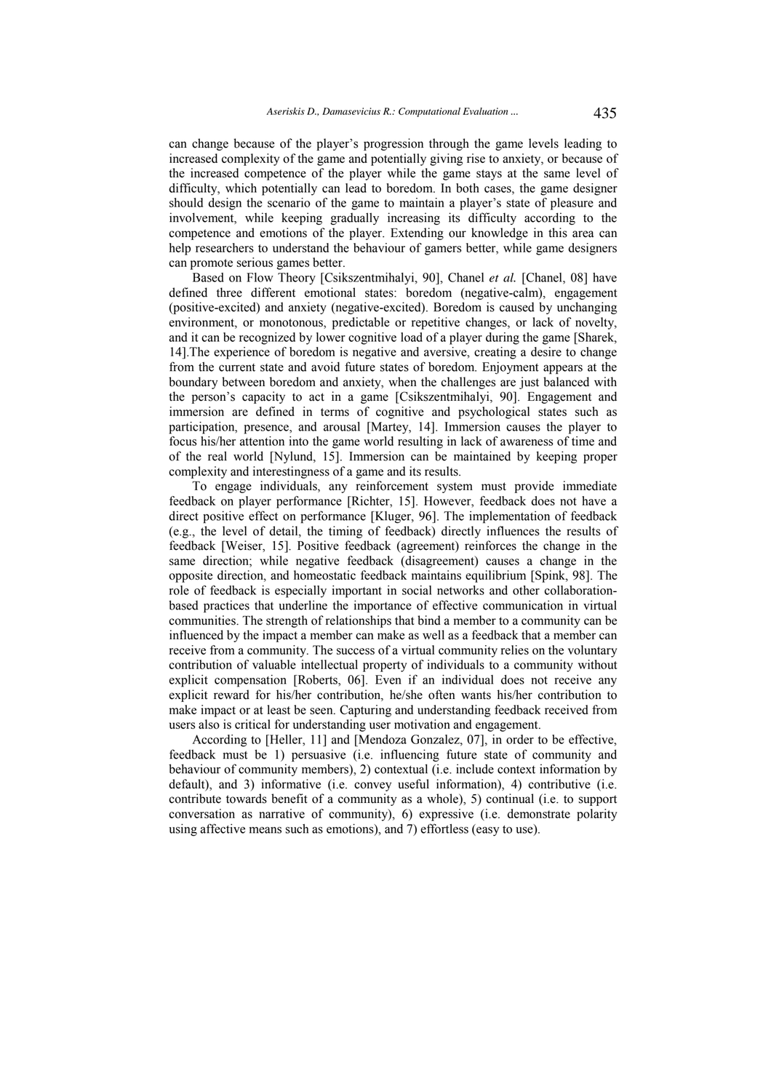can change because of the player's progression through the game levels leading to increased complexity of the game and potentially giving rise to anxiety, or because of the increased competence of the player while the game stays at the same level of difficulty, which potentially can lead to boredom. In both cases, the game designer should design the scenario of the game to maintain a player's state of pleasure and involvement, while keeping gradually increasing its difficulty according to the competence and emotions of the player. Extending our knowledge in this area can help researchers to understand the behaviour of gamers better, while game designers can promote serious games better.

Based on Flow Theory [Csikszentmihalyi, 90], Chanel *et al.* [Chanel, 08] have defined three different emotional states: boredom (negative-calm), engagement (positive-excited) and anxiety (negative-excited). Boredom is caused by unchanging environment, or monotonous, predictable or repetitive changes, or lack of novelty, and it can be recognized by lower cognitive load of a player during the game [Sharek, 14].The experience of boredom is negative and aversive, creating a desire to change from the current state and avoid future states of boredom. Enjoyment appears at the boundary between boredom and anxiety, when the challenges are just balanced with the person's capacity to act in a game [Csikszentmihalyi, 90]. Engagement and immersion are defined in terms of cognitive and psychological states such as participation, presence, and arousal [Martey, 14]. Immersion causes the player to focus his/her attention into the game world resulting in lack of awareness of time and of the real world [Nylund, 15]. Immersion can be maintained by keeping proper complexity and interestingness of a game and its results.

To engage individuals, any reinforcement system must provide immediate feedback on player performance [Richter, 15]. However, feedback does not have a direct positive effect on performance [Kluger, 96]. The implementation of feedback (e.g., the level of detail, the timing of feedback) directly influences the results of feedback [Weiser, 15]. Positive feedback (agreement) reinforces the change in the same direction; while negative feedback (disagreement) causes a change in the opposite direction, and homeostatic feedback maintains equilibrium [Spink, 98]. The role of feedback is especially important in social networks and other collaborationbased practices that underline the importance of effective communication in virtual communities. The strength of relationships that bind a member to a community can be influenced by the impact a member can make as well as a feedback that a member can receive from a community. The success of a virtual community relies on the voluntary contribution of valuable intellectual property of individuals to a community without explicit compensation [Roberts, 06]. Even if an individual does not receive any explicit reward for his/her contribution, he/she often wants his/her contribution to make impact or at least be seen. Capturing and understanding feedback received from users also is critical for understanding user motivation and engagement.

According to [Heller, 11] and [Mendoza Gonzalez, 07], in order to be effective, feedback must be 1) persuasive (i.e. influencing future state of community and behaviour of community members), 2) contextual (i.e. include context information by default), and 3) informative (i.e. convey useful information), 4) contributive (i.e. contribute towards benefit of a community as a whole), 5) continual (i.e. to support conversation as narrative of community), 6) expressive (i.e. demonstrate polarity using affective means such as emotions), and 7) effortless (easy to use).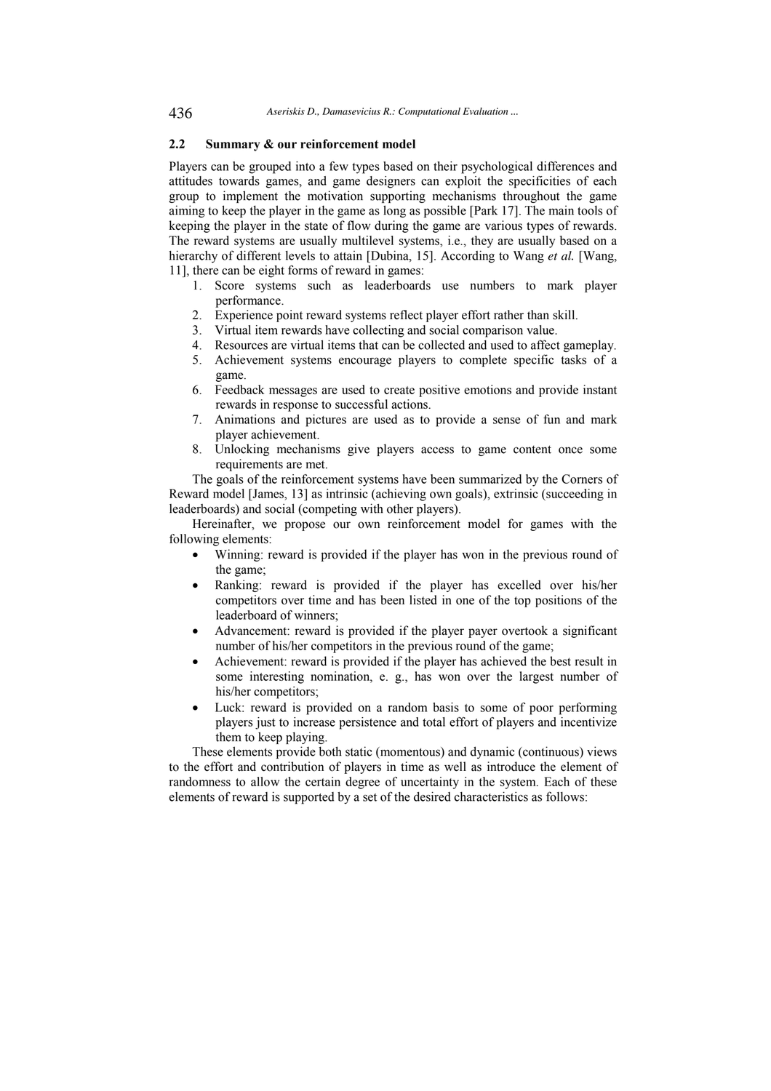# **2.2 Summary & our reinforcement model**

Players can be grouped into a few types based on their psychological differences and attitudes towards games, and game designers can exploit the specificities of each group to implement the motivation supporting mechanisms throughout the game aiming to keep the player in the game as long as possible [Park 17]. The main tools of keeping the player in the state of flow during the game are various types of rewards. The reward systems are usually multilevel systems, i.e., they are usually based on a hierarchy of different levels to attain [Dubina, 15]. According to Wang *et al.* [Wang, 11], there can be eight forms of reward in games:

- 1. Score systems such as leaderboards use numbers to mark player performance.
- 2. Experience point reward systems reflect player effort rather than skill.
- 3. Virtual item rewards have collecting and social comparison value.
- 4. Resources are virtual items that can be collected and used to affect gameplay.
- 5. Achievement systems encourage players to complete specific tasks of a game.
- 6. Feedback messages are used to create positive emotions and provide instant rewards in response to successful actions.
- 7. Animations and pictures are used as to provide a sense of fun and mark player achievement.
- 8. Unlocking mechanisms give players access to game content once some requirements are met.

The goals of the reinforcement systems have been summarized by the Corners of Reward model [James, 13] as intrinsic (achieving own goals), extrinsic (succeeding in leaderboards) and social (competing with other players).

Hereinafter, we propose our own reinforcement model for games with the following elements:

- Winning: reward is provided if the player has won in the previous round of the game;
- Ranking: reward is provided if the player has excelled over his/her competitors over time and has been listed in one of the top positions of the leaderboard of winners;
- Advancement: reward is provided if the player payer overtook a significant number of his/her competitors in the previous round of the game;
- Achievement: reward is provided if the player has achieved the best result in some interesting nomination, e. g., has won over the largest number of his/her competitors;
- Luck: reward is provided on a random basis to some of poor performing players just to increase persistence and total effort of players and incentivize them to keep playing.

These elements provide both static (momentous) and dynamic (continuous) views to the effort and contribution of players in time as well as introduce the element of randomness to allow the certain degree of uncertainty in the system. Each of these elements of reward is supported by a set of the desired characteristics as follows: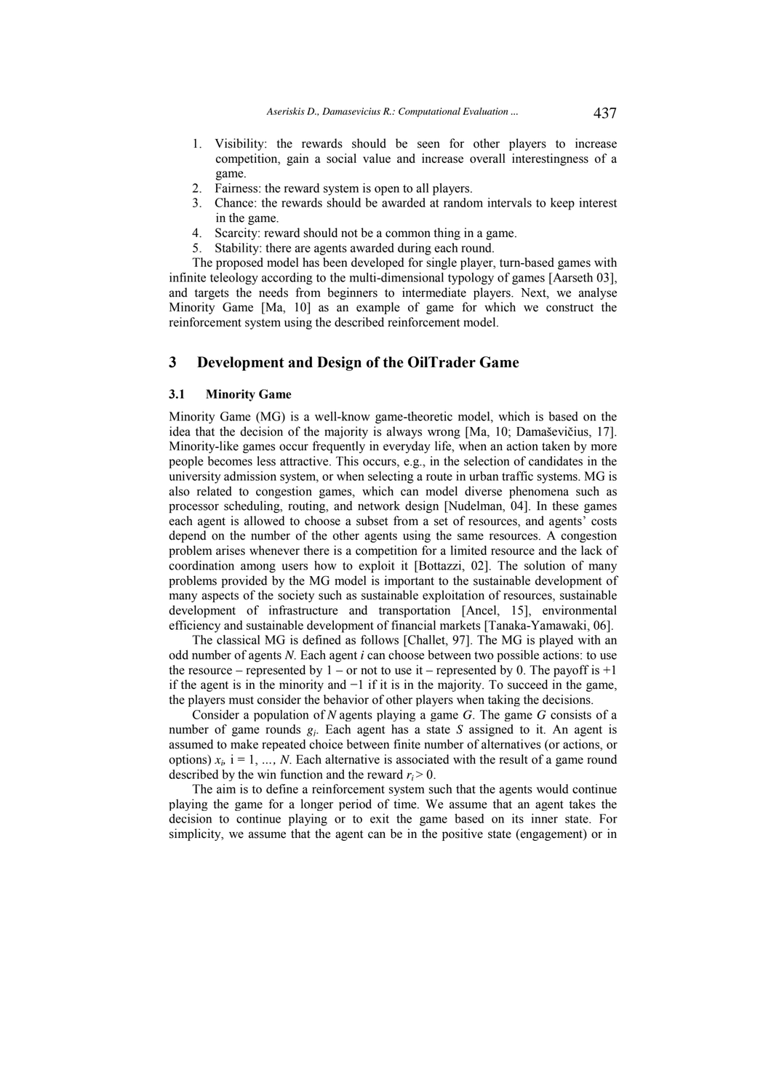- 1. Visibility: the rewards should be seen for other players to increase competition, gain a social value and increase overall interestingness of a game.
- 2. Fairness: the reward system is open to all players.
- 3. Chance: the rewards should be awarded at random intervals to keep interest in the game.
- 4. Scarcity: reward should not be a common thing in a game.
- 5. Stability: there are agents awarded during each round.

The proposed model has been developed for single player, turn-based games with infinite teleology according to the multi-dimensional typology of games [Aarseth 03], and targets the needs from beginners to intermediate players. Next, we analyse Minority Game [Ma, 10] as an example of game for which we construct the reinforcement system using the described reinforcement model.

# **3 Development and Design of the OilTrader Game**

### **3.1 Minority Game**

Minority Game (MG) is a well-know game-theoretic model, which is based on the idea that the decision of the majority is always wrong [Ma, 10; Damaševičius, 17]. Minority-like games occur frequently in everyday life, when an action taken by more people becomes less attractive. This occurs, e.g., in the selection of candidates in the university admission system, or when selecting a route in urban traffic systems. MG is also related to congestion games, which can model diverse phenomena such as processor scheduling, routing, and network design [Nudelman, 04]. In these games each agent is allowed to choose a subset from a set of resources, and agents' costs depend on the number of the other agents using the same resources. A congestion problem arises whenever there is a competition for a limited resource and the lack of coordination among users how to exploit it [Bottazzi, 02]. The solution of many problems provided by the MG model is important to the sustainable development of many aspects of the society such as sustainable exploitation of resources, sustainable development of infrastructure and transportation [Ancel, 15], environmental efficiency and sustainable development of financial markets [Tanaka-Yamawaki, 06].

The classical MG is defined as follows [Challet, 97]. The MG is played with an odd number of agents *N*. Each agent *i* can choose between two possible actions: to use the resource – represented by  $1$  – or not to use it – represented by 0. The payoff is  $+1$ if the agent is in the minority and −1 if it is in the majority. To succeed in the game, the players must consider the behavior of other players when taking the decisions.

Consider a population of *N* agents playing a game *G*. The game *G* consists of a number of game rounds *gj*. Each agent has a state *S* assigned to it. An agent is assumed to make repeated choice between finite number of alternatives (or actions, or options)  $x_i$ ,  $i = 1, ..., N$ . Each alternative is associated with the result of a game round described by the win function and the reward  $r_i > 0$ .

The aim is to define a reinforcement system such that the agents would continue playing the game for a longer period of time. We assume that an agent takes the decision to continue playing or to exit the game based on its inner state. For simplicity, we assume that the agent can be in the positive state (engagement) or in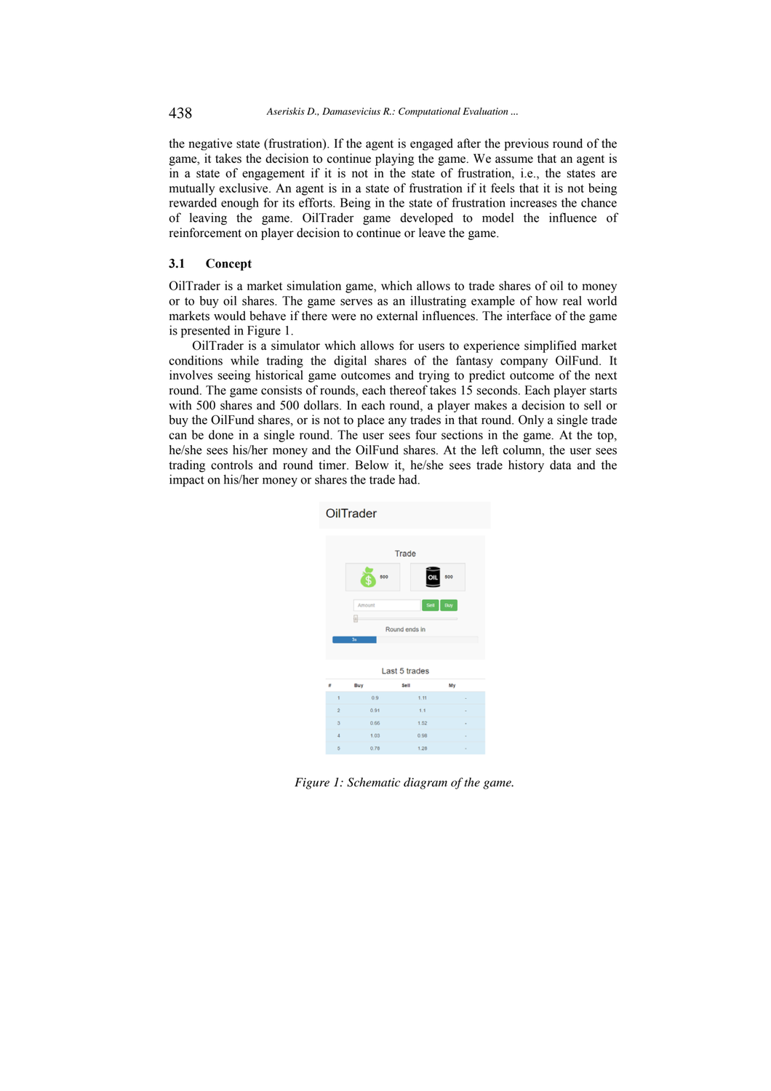the negative state (frustration). If the agent is engaged after the previous round of the game, it takes the decision to continue playing the game. We assume that an agent is in a state of engagement if it is not in the state of frustration, i.e., the states are mutually exclusive. An agent is in a state of frustration if it feels that it is not being rewarded enough for its efforts. Being in the state of frustration increases the chance of leaving the game. OilTrader game developed to model the influence of reinforcement on player decision to continue or leave the game.

### **3.1 Concept**

OilTrader is a market simulation game, which allows to trade shares of oil to money or to buy oil shares. The game serves as an illustrating example of how real world markets would behave if there were no external influences. The interface of the game is presented in Figure 1.

OilTrader is a simulator which allows for users to experience simplified market conditions while trading the digital shares of the fantasy company OilFund. It involves seeing historical game outcomes and trying to predict outcome of the next round. The game consists of rounds, each thereof takes 15 seconds. Each player starts with 500 shares and 500 dollars. In each round, a player makes a decision to sell or buy the OilFund shares, or is not to place any trades in that round. Only a single trade can be done in a single round. The user sees four sections in the game. At the top, he/she sees his/her money and the OilFund shares. At the left column, the user sees trading controls and round timer. Below it, he/she sees trade history data and the impact on his/her money or shares the trade had.



*Figure 1: Schematic diagram of the game.*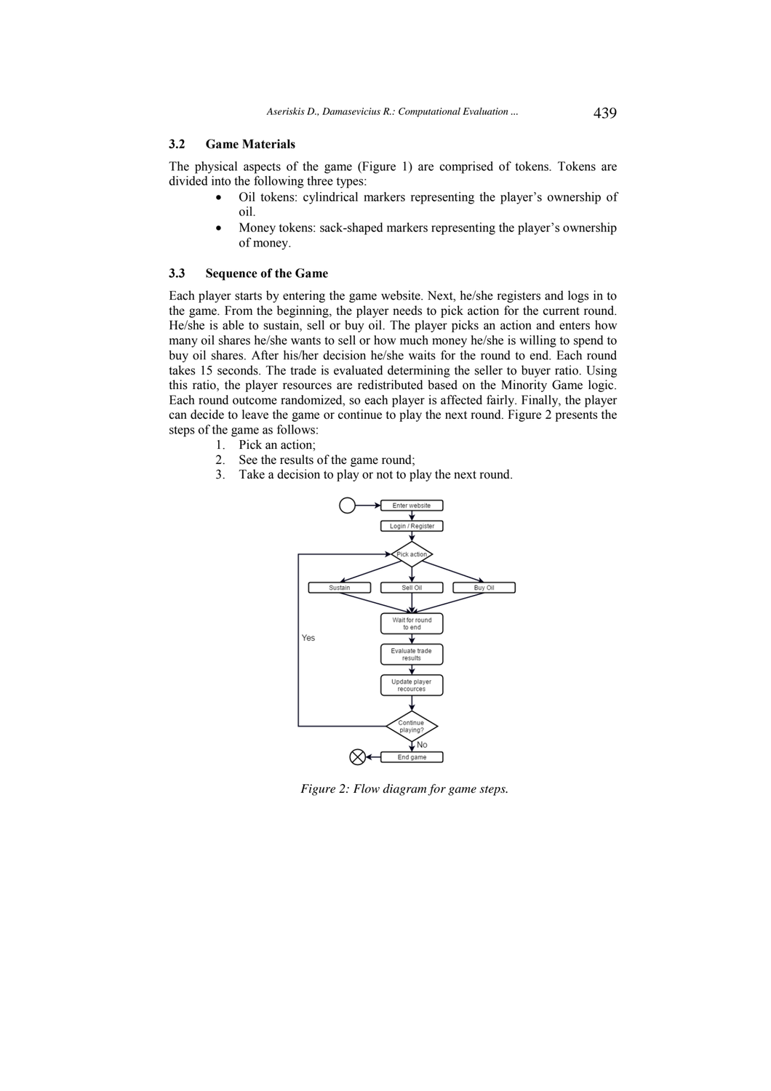# **3.2 Game Materials**

The physical aspects of the game (Figure 1) are comprised of tokens. Tokens are divided into the following three types:

- Oil tokens: cylindrical markers representing the player's ownership of oil.
- Money tokens: sack-shaped markers representing the player's ownership of money.

#### **3.3 Sequence of the Game**

Each player starts by entering the game website. Next, he/she registers and logs in to the game. From the beginning, the player needs to pick action for the current round. He/she is able to sustain, sell or buy oil. The player picks an action and enters how many oil shares he/she wants to sell or how much money he/she is willing to spend to buy oil shares. After his/her decision he/she waits for the round to end. Each round takes 15 seconds. The trade is evaluated determining the seller to buyer ratio. Using this ratio, the player resources are redistributed based on the Minority Game logic. Each round outcome randomized, so each player is affected fairly. Finally, the player can decide to leave the game or continue to play the next round. Figure 2 presents the steps of the game as follows:

- 1. Pick an action;
	- 2. See the results of the game round;
	- 3. Take a decision to play or not to play the next round.



*Figure 2: Flow diagram for game steps.*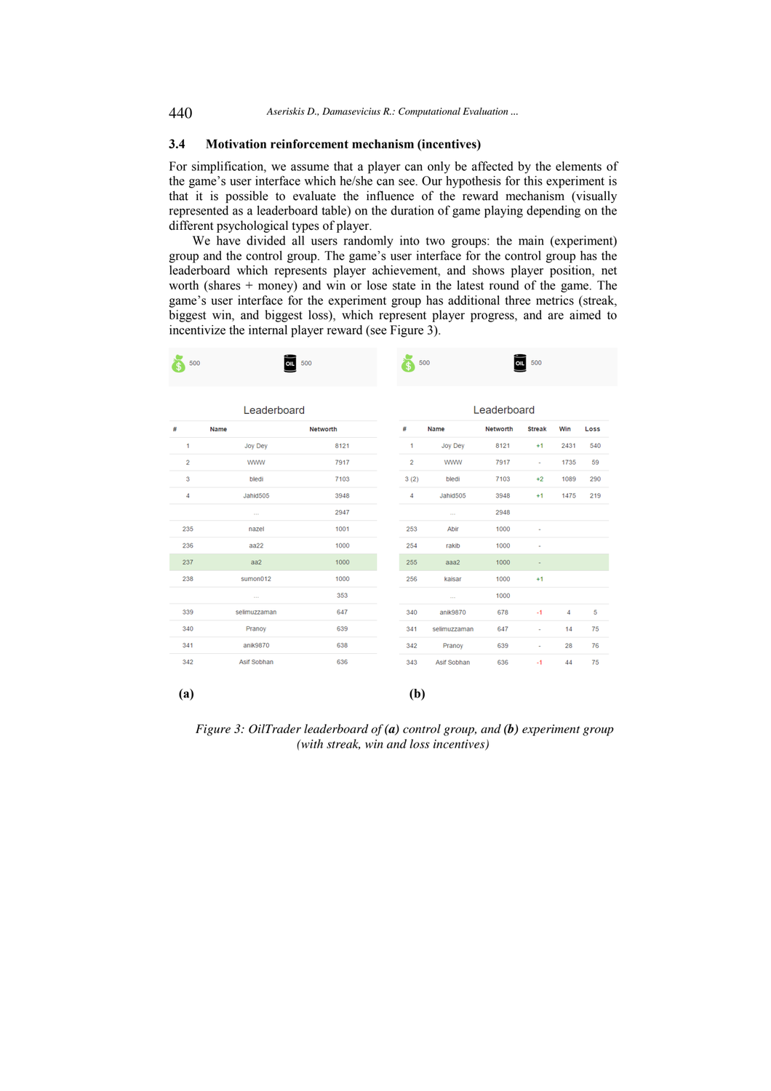# **3.4 Motivation reinforcement mechanism (incentives)**

For simplification, we assume that a player can only be affected by the elements of the game's user interface which he/she can see. Our hypothesis for this experiment is that it is possible to evaluate the influence of the reward mechanism (visually represented as a leaderboard table) on the duration of game playing depending on the different psychological types of player.

We have divided all users randomly into two groups: the main (experiment) group and the control group. The game's user interface for the control group has the leaderboard which represents player achievement, and shows player position, net worth (shares + money) and win or lose state in the latest round of the game. The game's user interface for the experiment group has additional three metrics (streak, biggest win, and biggest loss), which represent player progress, and are aimed to incentivize the internal player reward (see Figure 3).

| 500            | 500<br>OIL        |          |  | 500                     |                            | 500<br>OIL |                          |      |      |
|----------------|-------------------|----------|--|-------------------------|----------------------------|------------|--------------------------|------|------|
|                | Leaderboard       |          |  | Leaderboard             |                            |            |                          |      |      |
| #              | Name              | Networth |  | #                       | Name                       | Networth   | <b>Streak</b>            | Win  | Loss |
| 1              | Joy Dey           | 8121     |  | $\mathbf{1}$            | Joy Dey                    | 8121       | $+1$                     | 2431 | 540  |
| $\overline{2}$ | <b>WWW</b>        | 7917     |  | $\overline{\mathbf{c}}$ | <b>WWW</b>                 | 7917       | ×.                       | 1735 | 59   |
| 3              | bledi             | 7103     |  | 3(2)                    | bledi                      | 7103       | $+2$                     | 1089 | 290  |
| $\overline{4}$ | Jahid505          | 3948     |  | $\overline{4}$          | Jahid505                   | 3948       | $+1$                     | 1475 | 219  |
|                | $\cdots$          | 2947     |  |                         | $\mathcal{L}_{\text{max}}$ | 2948       |                          |      |      |
| 235            | nazel             | 1001     |  | 253                     | Abir                       | 1000       | $\overline{a}$           |      |      |
| 236            | a <sub>0</sub> 22 | 1000     |  | 254                     | rakib                      | 1000       | ä,                       |      |      |
| 237            | aa2               | 1000     |  | 255                     | aaa2                       | 1000       | $\overline{\phantom{a}}$ |      |      |
| 238            | sumon012          | 1000     |  | 256                     | kaisar                     | 1000       | $+1$                     |      |      |
|                | $\mathbf{r}$      | 353      |  |                         | a.                         | 1000       |                          |      |      |
| 339            | selimuzzaman      | 647      |  | 340                     | anik9870                   | 678        | $-1$                     | 4    | 5    |
| 340            | Pranoy            | 639      |  | 341                     | selimuzzaman               | 647        | ٠                        | 14   | 75   |
| 341            | anik9870          | 638      |  | 342                     | Pranoy                     | 639        | ä,                       | 28   | 76   |
| 342            | Asif Sobhan       | 636      |  | 343                     | Asif Sobhan                | 636        | $-1$                     | 44   | 75   |
| (a)            |                   |          |  | (b)                     |                            |            |                          |      |      |

*Figure 3: OilTrader leaderboard of (a) control group, and (b) experiment group (with streak, win and loss incentives)*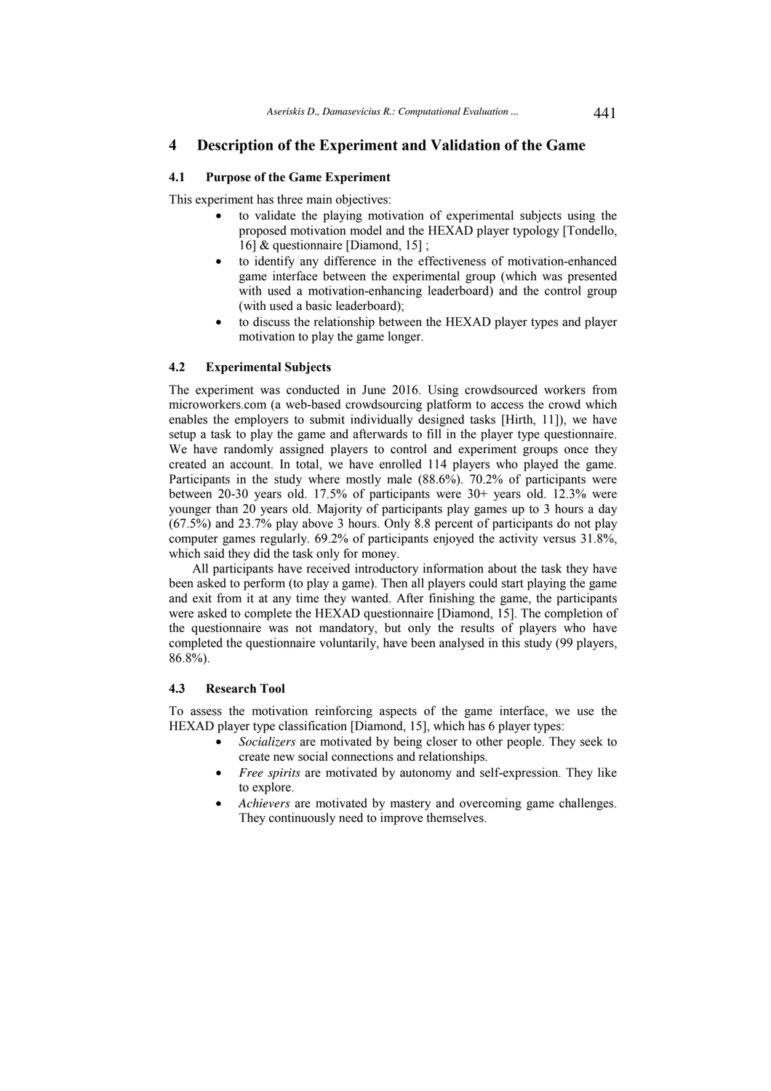# **4 Description of the Experiment and Validation of the Game**

### **4.1 Purpose of the Game Experiment**

This experiment has three main objectives:

- to validate the playing motivation of experimental subjects using the proposed motivation model and the HEXAD player typology [Tondello, 16] & questionnaire [Diamond, 15] ;
- to identify any difference in the effectiveness of motivation-enhanced game interface between the experimental group (which was presented with used a motivation-enhancing leaderboard) and the control group (with used a basic leaderboard);
- to discuss the relationship between the HEXAD player types and player motivation to play the game longer.

#### **4.2 Experimental Subjects**

The experiment was conducted in June 2016. Using crowdsourced workers from microworkers.com (a web-based crowdsourcing platform to access the crowd which enables the employers to submit individually designed tasks [Hirth, 11]), we have setup a task to play the game and afterwards to fill in the player type questionnaire. We have randomly assigned players to control and experiment groups once they created an account. In total, we have enrolled 114 players who played the game. Participants in the study where mostly male (88.6%). 70.2% of participants were between 20-30 years old. 17.5% of participants were 30+ years old. 12.3% were younger than 20 years old. Majority of participants play games up to 3 hours a day (67.5%) and 23.7% play above 3 hours. Only 8.8 percent of participants do not play computer games regularly. 69.2% of participants enjoyed the activity versus 31.8%, which said they did the task only for money.

All participants have received introductory information about the task they have been asked to perform (to play a game). Then all players could start playing the game and exit from it at any time they wanted. After finishing the game, the participants were asked to complete the HEXAD questionnaire [Diamond, 15]. The completion of the questionnaire was not mandatory, but only the results of players who have completed the questionnaire voluntarily, have been analysed in this study (99 players, 86.8%).

### **4.3 Research Tool**

To assess the motivation reinforcing aspects of the game interface, we use the HEXAD player type classification [Diamond, 15], which has 6 player types:

- *Socializers* are motivated by being closer to other people. They seek to create new social connections and relationships.
- *Free spirits* are motivated by autonomy and self-expression. They like to explore.
- *Achievers* are motivated by mastery and overcoming game challenges. They continuously need to improve themselves.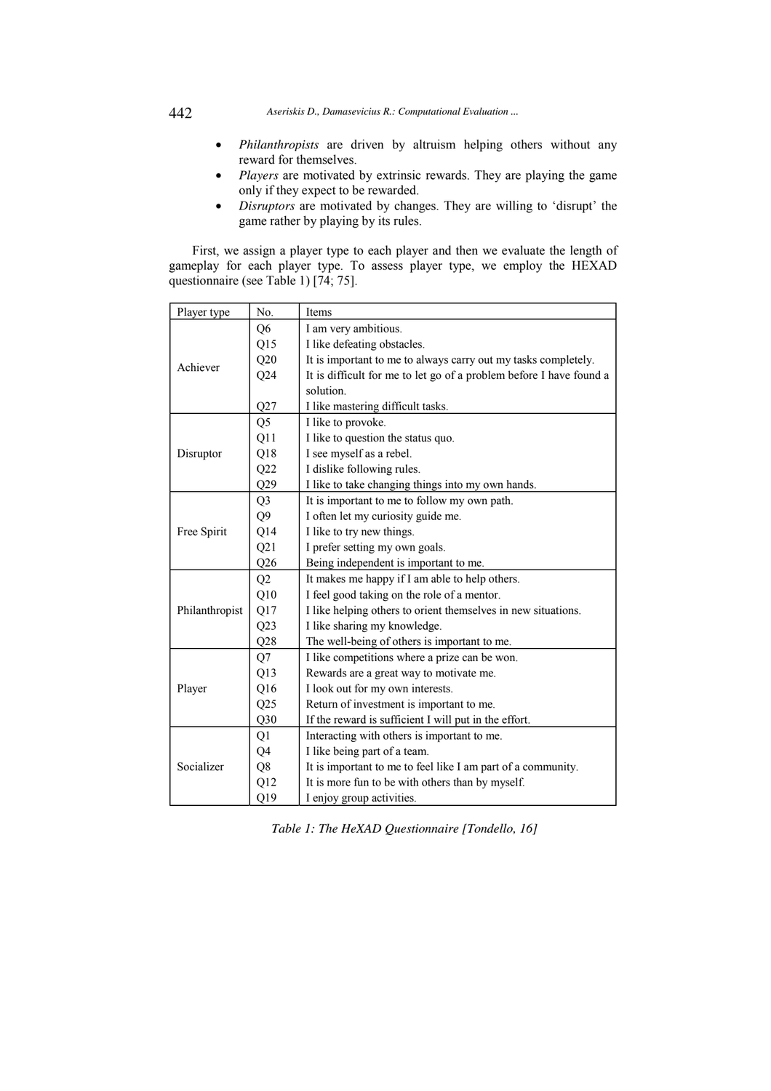# 442 *Aseriskis D., Damasevicius R.: Computational Evaluation ...*

- *Philanthropists* are driven by altruism helping others without any reward for themselves.
- *Players* are motivated by extrinsic rewards. They are playing the game only if they expect to be rewarded.
- *Disruptors* are motivated by changes. They are willing to 'disrupt' the game rather by playing by its rules.

First, we assign a player type to each player and then we evaluate the length of gameplay for each player type. To assess player type, we employ the HEXAD questionnaire (see Table 1) [74; 75].

| Player type    | No.            | Items                                                               |  |  |  |  |
|----------------|----------------|---------------------------------------------------------------------|--|--|--|--|
|                | Q <sub>6</sub> | I am very ambitious.                                                |  |  |  |  |
|                | Q15            | I like defeating obstacles.                                         |  |  |  |  |
|                | Q20            | It is important to me to always carry out my tasks completely.      |  |  |  |  |
| Achiever       | Q24            | It is difficult for me to let go of a problem before I have found a |  |  |  |  |
|                |                | solution.                                                           |  |  |  |  |
|                | Q27            | I like mastering difficult tasks.                                   |  |  |  |  |
|                | Q <sub>5</sub> | I like to provoke.                                                  |  |  |  |  |
|                | Q11            | I like to question the status quo.                                  |  |  |  |  |
| Disruptor      | Q18            | I see myself as a rebel.                                            |  |  |  |  |
|                | Q22            | I dislike following rules.                                          |  |  |  |  |
|                | Q29            | I like to take changing things into my own hands.                   |  |  |  |  |
|                | Q <sub>3</sub> | It is important to me to follow my own path.                        |  |  |  |  |
|                | Q <sub>9</sub> | I often let my curiosity guide me.                                  |  |  |  |  |
| Free Spirit    | Q14            | I like to try new things.                                           |  |  |  |  |
|                | Q21            | I prefer setting my own goals.                                      |  |  |  |  |
|                | Q26            | Being independent is important to me.                               |  |  |  |  |
|                | Q2             | It makes me happy if I am able to help others.                      |  |  |  |  |
|                | Q10            | I feel good taking on the role of a mentor.                         |  |  |  |  |
| Philanthropist | Q17            | I like helping others to orient themselves in new situations.       |  |  |  |  |
|                | Q23            | I like sharing my knowledge.                                        |  |  |  |  |
|                | Q28            | The well-being of others is important to me.                        |  |  |  |  |
|                | Q7             | I like competitions where a prize can be won.                       |  |  |  |  |
|                | Q13            | Rewards are a great way to motivate me.                             |  |  |  |  |
| Player         | Q16            | I look out for my own interests.                                    |  |  |  |  |
|                | Q25            | Return of investment is important to me.                            |  |  |  |  |
|                | Q30            | If the reward is sufficient I will put in the effort.               |  |  |  |  |
|                | Q1             | Interacting with others is important to me.                         |  |  |  |  |
|                | Q4             | I like being part of a team.                                        |  |  |  |  |
| Socializer     | Q8             | It is important to me to feel like I am part of a community.        |  |  |  |  |
|                | Q12            | It is more fun to be with others than by myself.                    |  |  |  |  |
|                | Q19            | I enjoy group activities.                                           |  |  |  |  |

*Table 1: The HeXAD Questionnaire [Tondello, 16]*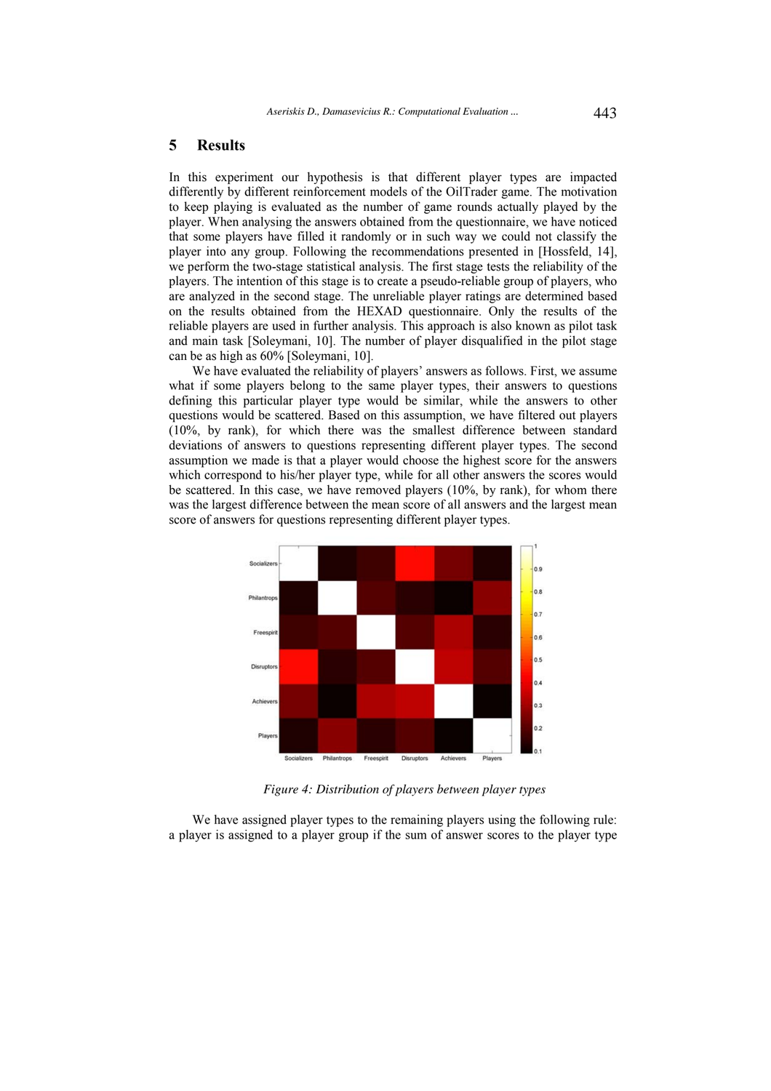# **5 Results**

In this experiment our hypothesis is that different player types are impacted differently by different reinforcement models of the OilTrader game. The motivation to keep playing is evaluated as the number of game rounds actually played by the player. When analysing the answers obtained from the questionnaire, we have noticed that some players have filled it randomly or in such way we could not classify the player into any group. Following the recommendations presented in [Hossfeld, 14], we perform the two-stage statistical analysis. The first stage tests the reliability of the players. The intention of this stage is to create a pseudo-reliable group of players, who are analyzed in the second stage. The unreliable player ratings are determined based on the results obtained from the HEXAD questionnaire. Only the results of the reliable players are used in further analysis. This approach is also known as pilot task and main task [Soleymani, 10]. The number of player disqualified in the pilot stage can be as high as 60% [Soleymani, 10].

We have evaluated the reliability of players' answers as follows. First, we assume what if some players belong to the same player types, their answers to questions defining this particular player type would be similar, while the answers to other questions would be scattered. Based on this assumption, we have filtered out players (10%, by rank), for which there was the smallest difference between standard deviations of answers to questions representing different player types. The second assumption we made is that a player would choose the highest score for the answers which correspond to his/her player type, while for all other answers the scores would be scattered. In this case, we have removed players (10%, by rank), for whom there was the largest difference between the mean score of all answers and the largest mean score of answers for questions representing different player types.



*Figure 4: Distribution of players between player types* 

We have assigned player types to the remaining players using the following rule: a player is assigned to a player group if the sum of answer scores to the player type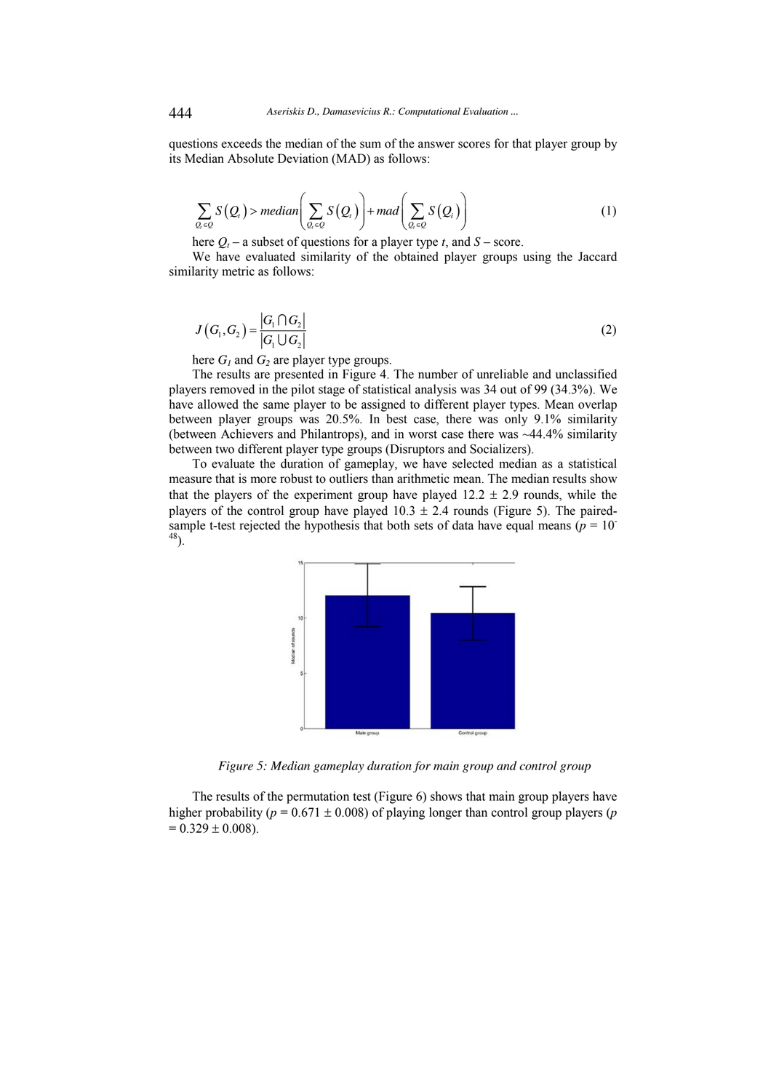questions exceeds the median of the sum of the answer scores for that player group by its Median Absolute Deviation (MAD) as follows:

$$
\sum_{Q_i \in Q} S(Q_i) > median \bigg( \sum_{Q_i \in Q} S(Q_i) \bigg) + mad \bigg( \sum_{Q_i \in Q} S(Q_i) \bigg) \tag{1}
$$

here  $Q_t$  – a subset of questions for a player type *t*, and *S* – score.

We have evaluated similarity of the obtained player groups using the Jaccard similarity metric as follows:

$$
J\left(G_1, G_2\right) = \frac{\left|G_1 \cap G_2\right|}{\left|G_1 \cup G_2\right|} \tag{2}
$$

here  $G_1$  and  $G_2$  are player type groups.

The results are presented in Figure 4. The number of unreliable and unclassified players removed in the pilot stage of statistical analysis was 34 out of 99 (34.3%). We have allowed the same player to be assigned to different player types. Mean overlap between player groups was 20.5%. In best case, there was only 9.1% similarity (between Achievers and Philantrops), and in worst case there was ~44.4% similarity between two different player type groups (Disruptors and Socializers).

To evaluate the duration of gameplay, we have selected median as a statistical measure that is more robust to outliers than arithmetic mean. The median results show that the players of the experiment group have played  $12.2 \pm 2.9$  rounds, while the players of the control group have played  $10.3 \pm 2.4$  rounds (Figure 5). The pairedsample t-test rejected the hypothesis that both sets of data have equal means ( $p = 10^{-1}$ )  $^{48}$ ).



*Figure 5: Median gameplay duration for main group and control group* 

The results of the permutation test (Figure 6) shows that main group players have higher probability ( $p = 0.671 \pm 0.008$ ) of playing longer than control group players (*p*  $= 0.329 \pm 0.008$ ).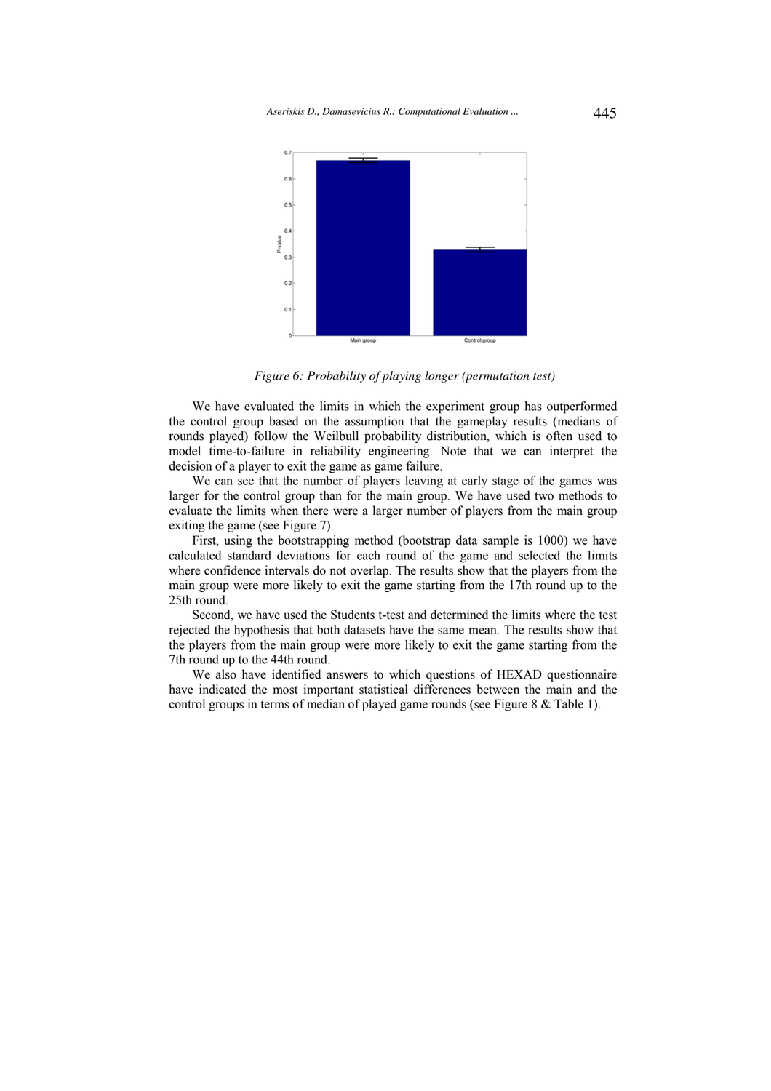*Aseriskis D., Damasevicius R.: Computational Evaluation ...* 445



*Figure 6: Probability of playing longer (permutation test)* 

We have evaluated the limits in which the experiment group has outperformed the control group based on the assumption that the gameplay results (medians of rounds played) follow the Weilbull probability distribution, which is often used to model time-to-failure in reliability engineering. Note that we can interpret the decision of a player to exit the game as game failure.

We can see that the number of players leaving at early stage of the games was larger for the control group than for the main group. We have used two methods to evaluate the limits when there were a larger number of players from the main group exiting the game (see Figure 7).

First, using the bootstrapping method (bootstrap data sample is 1000) we have calculated standard deviations for each round of the game and selected the limits where confidence intervals do not overlap. The results show that the players from the main group were more likely to exit the game starting from the 17th round up to the 25th round.

Second, we have used the Students t-test and determined the limits where the test rejected the hypothesis that both datasets have the same mean. The results show that the players from the main group were more likely to exit the game starting from the 7th round up to the 44th round.

We also have identified answers to which questions of HEXAD questionnaire have indicated the most important statistical differences between the main and the control groups in terms of median of played game rounds (see Figure 8 & Table 1).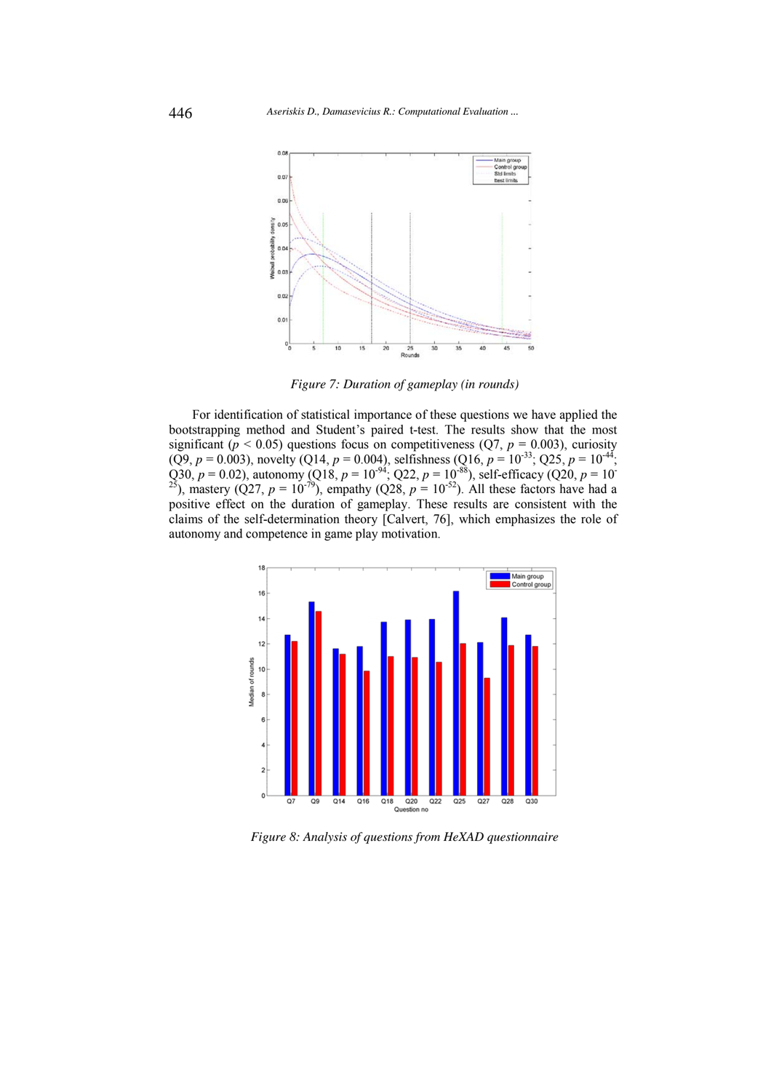

*Figure 7: Duration of gameplay (in rounds)* 

For identification of statistical importance of these questions we have applied the bootstrapping method and Student's paired t-test. The results show that the most significant ( $p < 0.05$ ) questions focus on competitiveness ( $Q7$ ,  $p = 0.003$ ), curiosity  $(Q9, p = 0.003)$ , novelty (Q14,  $p = 0.004$ ), selfishness (Q16,  $p = 10^{-33}$ ; Q25,  $p = 10^{-44}$ ; Q30,  $p = 0.02$ ), autonomy (Q18,  $p = 10^{-94}$ ; Q22,  $p = 10^{-88}$ ), self-efficacy (Q20,  $p = 10^{-8}$ <sup>25</sup>), mastery (Q27,  $p = 10^{-79}$ ), empathy (Q28,  $p = 10^{-52}$ ). All these factors have had a positive effect on the duration of gameplay. These results are consistent with the claims of the self-determination theory [Calvert, 76], which emphasizes the role of autonomy and competence in game play motivation.



*Figure 8: Analysis of questions from HeXAD questionnaire*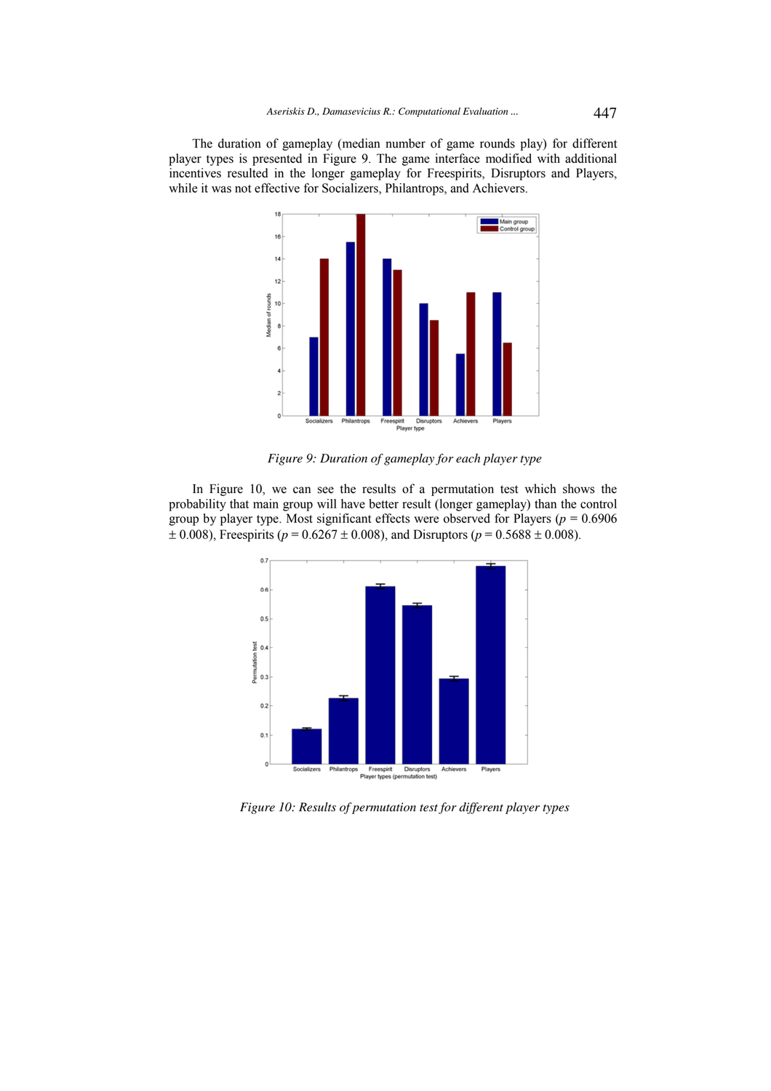The duration of gameplay (median number of game rounds play) for different player types is presented in Figure 9. The game interface modified with additional incentives resulted in the longer gameplay for Freespirits, Disruptors and Players, while it was not effective for Socializers, Philantrops, and Achievers.



*Figure 9: Duration of gameplay for each player type* 

In Figure 10, we can see the results of a permutation test which shows the probability that main group will have better result (longer gameplay) than the control group by player type. Most significant effects were observed for Players ( $p = 0.6906$ )  $\pm$  0.008), Freespirits ( $p = 0.6267 \pm 0.008$ ), and Disruptors ( $p = 0.5688 \pm 0.008$ ).



*Figure 10: Results of permutation test for different player types*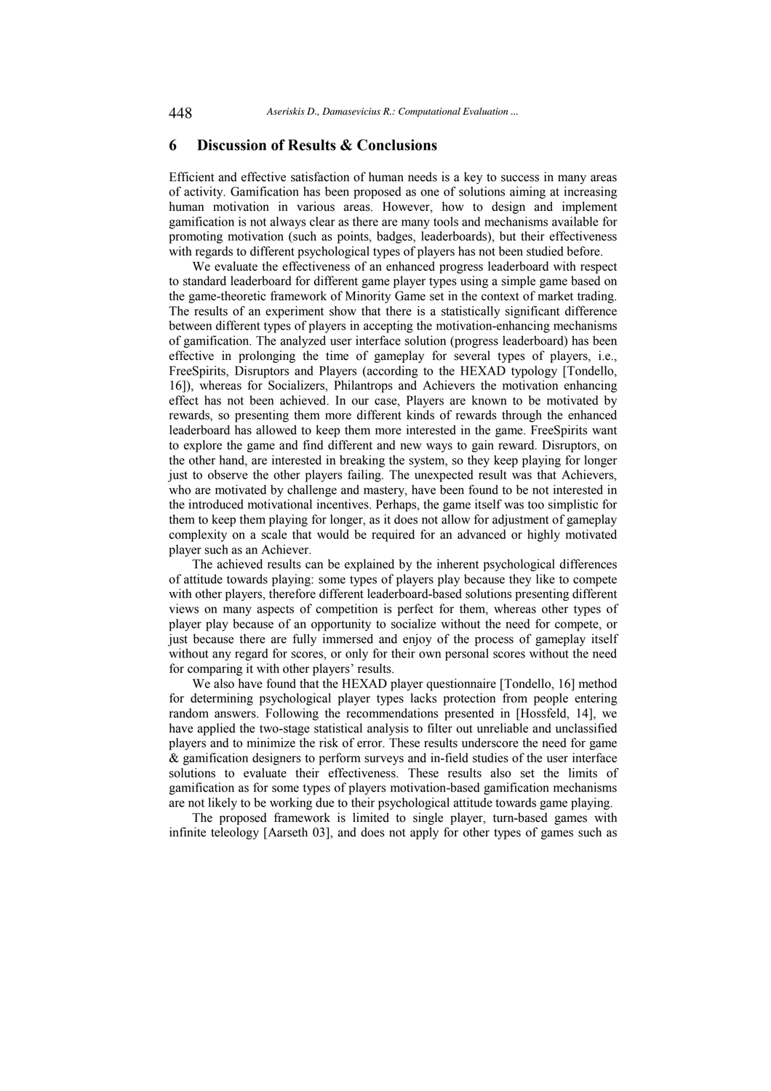# **6 Discussion of Results & Conclusions**

Efficient and effective satisfaction of human needs is a key to success in many areas of activity. Gamification has been proposed as one of solutions aiming at increasing human motivation in various areas. However, how to design and implement gamification is not always clear as there are many tools and mechanisms available for promoting motivation (such as points, badges, leaderboards), but their effectiveness with regards to different psychological types of players has not been studied before.

We evaluate the effectiveness of an enhanced progress leaderboard with respect to standard leaderboard for different game player types using a simple game based on the game-theoretic framework of Minority Game set in the context of market trading. The results of an experiment show that there is a statistically significant difference between different types of players in accepting the motivation-enhancing mechanisms of gamification. The analyzed user interface solution (progress leaderboard) has been effective in prolonging the time of gameplay for several types of players, i.e., FreeSpirits, Disruptors and Players (according to the HEXAD typology [Tondello, 16]), whereas for Socializers, Philantrops and Achievers the motivation enhancing effect has not been achieved. In our case, Players are known to be motivated by rewards, so presenting them more different kinds of rewards through the enhanced leaderboard has allowed to keep them more interested in the game. FreeSpirits want to explore the game and find different and new ways to gain reward. Disruptors, on the other hand, are interested in breaking the system, so they keep playing for longer just to observe the other players failing. The unexpected result was that Achievers, who are motivated by challenge and mastery, have been found to be not interested in the introduced motivational incentives. Perhaps, the game itself was too simplistic for them to keep them playing for longer, as it does not allow for adjustment of gameplay complexity on a scale that would be required for an advanced or highly motivated player such as an Achiever.

The achieved results can be explained by the inherent psychological differences of attitude towards playing: some types of players play because they like to compete with other players, therefore different leaderboard-based solutions presenting different views on many aspects of competition is perfect for them, whereas other types of player play because of an opportunity to socialize without the need for compete, or just because there are fully immersed and enjoy of the process of gameplay itself without any regard for scores, or only for their own personal scores without the need for comparing it with other players' results.

We also have found that the HEXAD player questionnaire [Tondello, 16] method for determining psychological player types lacks protection from people entering random answers. Following the recommendations presented in [Hossfeld, 14], we have applied the two-stage statistical analysis to filter out unreliable and unclassified players and to minimize the risk of error. These results underscore the need for game & gamification designers to perform surveys and in-field studies of the user interface solutions to evaluate their effectiveness. These results also set the limits of gamification as for some types of players motivation-based gamification mechanisms are not likely to be working due to their psychological attitude towards game playing.

The proposed framework is limited to single player, turn-based games with infinite teleology [Aarseth 03], and does not apply for other types of games such as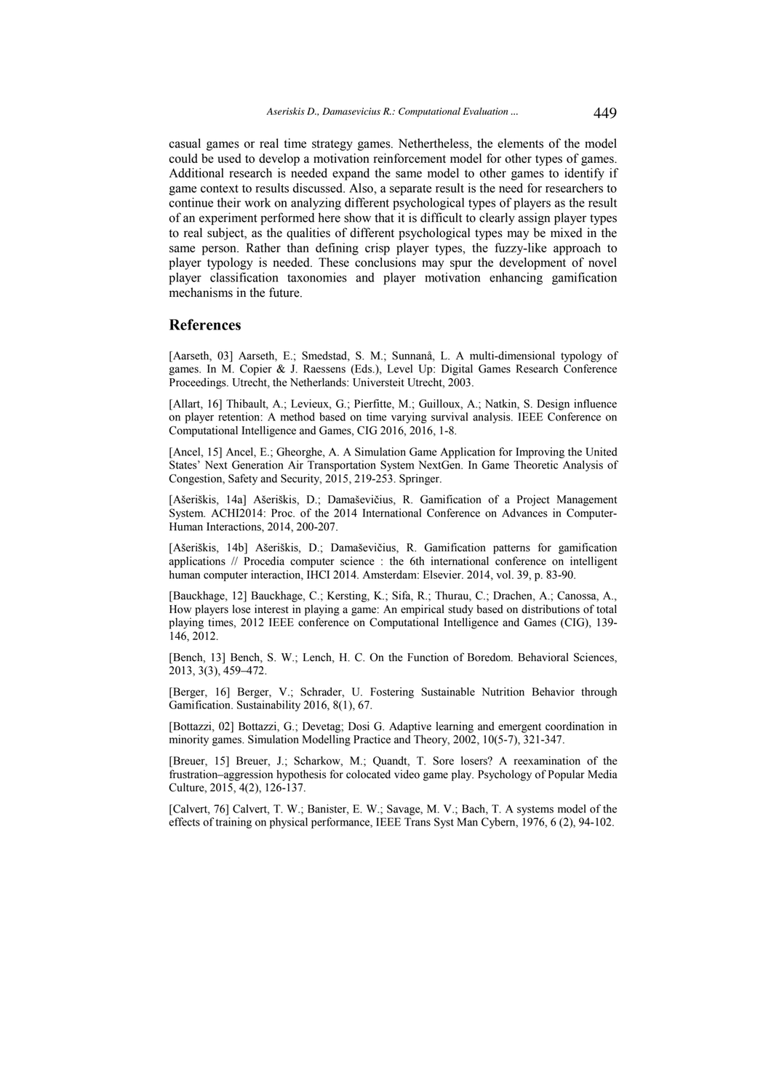casual games or real time strategy games. Nethertheless, the elements of the model could be used to develop a motivation reinforcement model for other types of games. Additional research is needed expand the same model to other games to identify if game context to results discussed. Also, a separate result is the need for researchers to continue their work on analyzing different psychological types of players as the result of an experiment performed here show that it is difficult to clearly assign player types to real subject, as the qualities of different psychological types may be mixed in the same person. Rather than defining crisp player types, the fuzzy-like approach to player typology is needed. These conclusions may spur the development of novel player classification taxonomies and player motivation enhancing gamification mechanisms in the future.

# **References**

[Aarseth, 03] Aarseth, E.; Smedstad, S. M.; Sunnanå, L. A multi-dimensional typology of games. In M. Copier & J. Raessens (Eds.), Level Up: Digital Games Research Conference Proceedings. Utrecht, the Netherlands: Universteit Utrecht, 2003.

[Allart, 16] Thibault, A.; Levieux, G.; Pierfitte, M.; Guilloux, A.; Natkin, S. Design influence on player retention: A method based on time varying survival analysis. IEEE Conference on Computational Intelligence and Games, CIG 2016, 2016, 1-8.

[Ancel, 15] Ancel, E.; Gheorghe, A. A Simulation Game Application for Improving the United States' Next Generation Air Transportation System NextGen. In Game Theoretic Analysis of Congestion, Safety and Security, 2015, 219-253. Springer.

[Ašeriškis, 14a] Ašeriškis, D.; Damaševičius, R. Gamification of a Project Management System. ACHI2014: Proc. of the 2014 International Conference on Advances in Computer-Human Interactions, 2014, 200-207.

[Ašeriškis, 14b] Ašeriškis, D.; Damaševičius, R. Gamification patterns for gamification applications // Procedia computer science : the 6th international conference on intelligent human computer interaction, IHCI 2014. Amsterdam: Elsevier. 2014, vol. 39, p. 83-90.

[Bauckhage, 12] Bauckhage, C.; Kersting, K.; Sifa, R.; Thurau, C.; Drachen, A.; Canossa, A., How players lose interest in playing a game: An empirical study based on distributions of total playing times, 2012 IEEE conference on Computational Intelligence and Games (CIG), 139- 146, 2012.

[Bench, 13] Bench, S. W.; Lench, H. C. On the Function of Boredom. Behavioral Sciences, 2013, 3(3), 459–472.

[Berger, 16] Berger, V.; Schrader, U. Fostering Sustainable Nutrition Behavior through Gamification. Sustainability 2016, 8(1), 67.

[Bottazzi, 02] Bottazzi, G.; Devetag; Dosi G. Adaptive learning and emergent coordination in minority games. Simulation Modelling Practice and Theory, 2002, 10(5-7), 321-347.

[Breuer, 15] Breuer, J.; Scharkow, M.; Quandt, T. Sore losers? A reexamination of the frustration–aggression hypothesis for colocated video game play. Psychology of Popular Media Culture, 2015, 4(2), 126-137.

[Calvert, 76] Calvert, T. W.; Banister, E. W.; Savage, M. V.; Bach, T. A systems model of the effects of training on physical performance, IEEE Trans Syst Man Cybern, 1976, 6 (2), 94-102.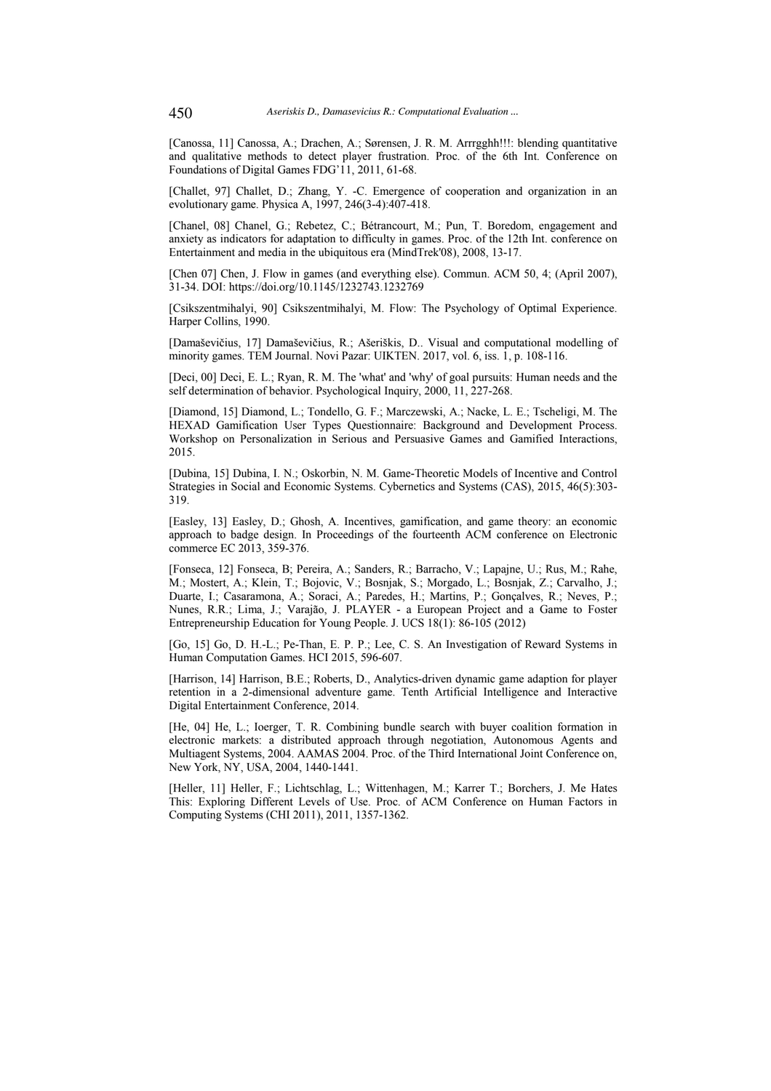[Canossa, 11] Canossa, A.; Drachen, A.; Sørensen, J. R. M. Arrrgghh!!!: blending quantitative and qualitative methods to detect player frustration. Proc. of the 6th Int. Conference on Foundations of Digital Games FDG'11, 2011, 61-68.

[Challet, 97] Challet, D.; Zhang, Y. -C. Emergence of cooperation and organization in an evolutionary game. Physica A, 1997, 246(3-4):407-418.

[Chanel, 08] Chanel, G.; Rebetez, C.; Bétrancourt, M.; Pun, T. Boredom, engagement and anxiety as indicators for adaptation to difficulty in games. Proc. of the 12th Int. conference on Entertainment and media in the ubiquitous era (MindTrek'08), 2008, 13-17.

[Chen 07] Chen, J. Flow in games (and everything else). Commun. ACM 50, 4; (April 2007), 31-34. DOI: https://doi.org/10.1145/1232743.1232769

[Csikszentmihalyi, 90] Csikszentmihalyi, M. Flow: The Psychology of Optimal Experience. Harper Collins, 1990.

[Damaševičius, 17] Damaševičius, R.; Ašeriškis, D.. Visual and computational modelling of minority games. TEM Journal. Novi Pazar: UIKTEN. 2017, vol. 6, iss. 1, p. 108-116.

[Deci, 00] Deci, E. L.; Ryan, R. M. The 'what' and 'why' of goal pursuits: Human needs and the self determination of behavior. Psychological Inquiry, 2000, 11, 227-268.

[Diamond, 15] Diamond, L.; Tondello, G. F.; Marczewski, A.; Nacke, L. E.; Tscheligi, M. The HEXAD Gamification User Types Questionnaire: Background and Development Process. Workshop on Personalization in Serious and Persuasive Games and Gamified Interactions, 2015.

[Dubina, 15] Dubina, I. N.; Oskorbin, N. M. Game-Theoretic Models of Incentive and Control Strategies in Social and Economic Systems. Cybernetics and Systems (CAS), 2015, 46(5):303- 319.

[Easley, 13] Easley, D.; Ghosh, A. Incentives, gamification, and game theory: an economic approach to badge design. In Proceedings of the fourteenth ACM conference on Electronic commerce EC 2013, 359-376.

[Fonseca, 12] Fonseca, B; Pereira, A.; Sanders, R.; Barracho, V.; Lapajne, U.; Rus, M.; Rahe, M.; Mostert, A.; Klein, T.; Bojovic, V.; Bosnjak, S.; Morgado, L.; Bosnjak, Z.; Carvalho, J.; Duarte, I.; Casaramona, A.; Soraci, A.; Paredes, H.; Martins, P.; Gonçalves, R.; Neves, P.; Nunes, R.R.; Lima, J.; Varajão, J. PLAYER - a European Project and a Game to Foster Entrepreneurship Education for Young People. J. UCS 18(1): 86-105 (2012)

[Go, 15] Go, D. H.-L.; Pe-Than, E. P. P.; Lee, C. S. An Investigation of Reward Systems in Human Computation Games. HCI 2015, 596-607.

[Harrison, 14] Harrison, B.E.; Roberts, D., Analytics-driven dynamic game adaption for player retention in a 2-dimensional adventure game. Tenth Artificial Intelligence and Interactive Digital Entertainment Conference, 2014.

[He, 04] He, L.; Ioerger, T. R. Combining bundle search with buyer coalition formation in electronic markets: a distributed approach through negotiation, Autonomous Agents and Multiagent Systems, 2004. AAMAS 2004. Proc. of the Third International Joint Conference on, New York, NY, USA, 2004, 1440-1441.

[Heller, 11] Heller, F.; Lichtschlag, L.; Wittenhagen, M.; Karrer T.; Borchers, J. Me Hates This: Exploring Different Levels of Use. Proc. of ACM Conference on Human Factors in Computing Systems (CHI 2011), 2011, 1357-1362.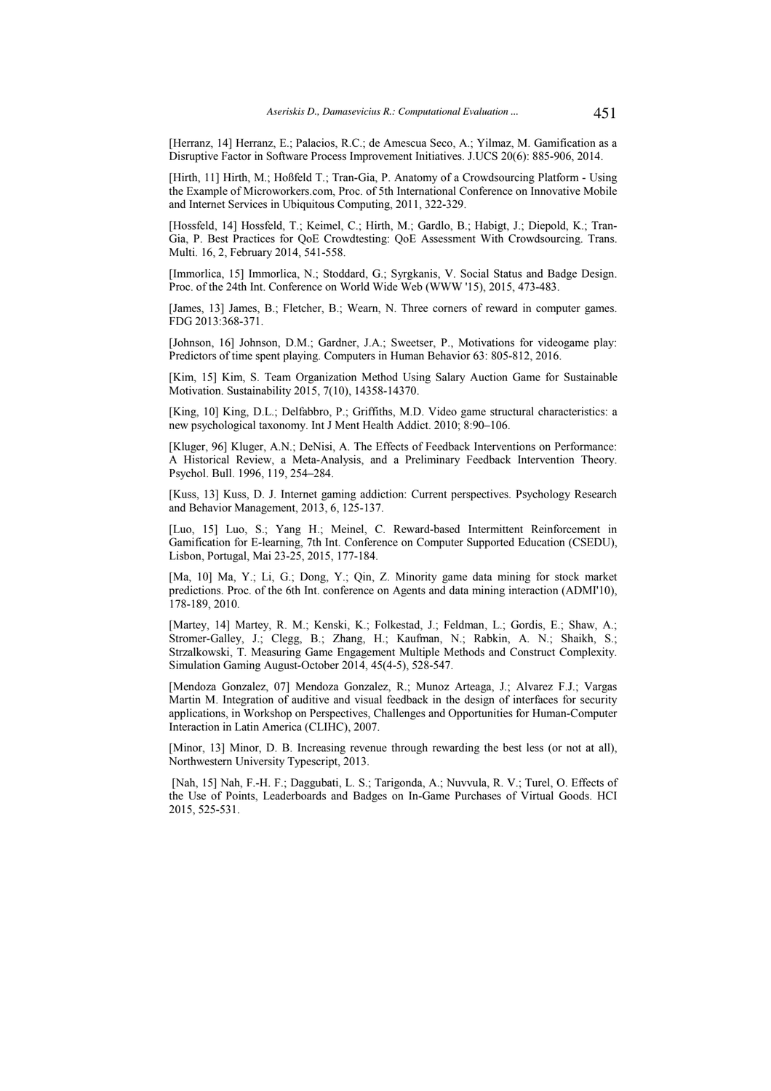[Herranz, 14] Herranz, E.; Palacios, R.C.; de Amescua Seco, A.; Yilmaz, M. Gamification as a Disruptive Factor in Software Process Improvement Initiatives. J.UCS 20(6): 885-906, 2014.

[Hirth, 11] Hirth, M.; Hoßfeld T.; Tran-Gia, P. Anatomy of a Crowdsourcing Platform - Using the Example of Microworkers.com, Proc. of 5th International Conference on Innovative Mobile and Internet Services in Ubiquitous Computing, 2011, 322-329.

[Hossfeld, 14] Hossfeld, T.; Keimel, C.; Hirth, M.; Gardlo, B.; Habigt, J.; Diepold, K.; Tran-Gia, P. Best Practices for QoE Crowdtesting: QoE Assessment With Crowdsourcing. Trans. Multi. 16, 2, February 2014, 541-558.

[Immorlica, 15] Immorlica, N.; Stoddard, G.; Syrgkanis, V. Social Status and Badge Design. Proc. of the 24th Int. Conference on World Wide Web (WWW '15), 2015, 473-483.

[James, 13] James, B.; Fletcher, B.; Wearn, N. Three corners of reward in computer games. FDG 2013:368-371.

[Johnson, 16] Johnson, D.M.; Gardner, J.A.; Sweetser, P., Motivations for videogame play: Predictors of time spent playing. Computers in Human Behavior 63: 805-812, 2016.

[Kim, 15] Kim, S. Team Organization Method Using Salary Auction Game for Sustainable Motivation. Sustainability 2015, 7(10), 14358-14370.

[King, 10] King, D.L.; Delfabbro, P.; Griffiths, M.D. Video game structural characteristics: a new psychological taxonomy. Int J Ment Health Addict. 2010; 8:90–106.

[Kluger, 96] Kluger, A.N.; DeNisi, A. The Effects of Feedback Interventions on Performance: A Historical Review, a Meta-Analysis, and a Preliminary Feedback Intervention Theory. Psychol. Bull. 1996, 119, 254–284.

[Kuss, 13] Kuss, D. J. Internet gaming addiction: Current perspectives. Psychology Research and Behavior Management, 2013, 6, 125-137.

[Luo, 15] Luo, S.; Yang H.; Meinel, C. Reward-based Intermittent Reinforcement in Gamification for E-learning, 7th Int. Conference on Computer Supported Education (CSEDU), Lisbon, Portugal, Mai 23-25, 2015, 177-184.

[Ma, 10] Ma, Y.; Li, G.; Dong, Y.; Qin, Z. Minority game data mining for stock market predictions. Proc. of the 6th Int. conference on Agents and data mining interaction (ADMI'10), 178-189, 2010.

[Martey, 14] Martey, R. M.; Kenski, K.; Folkestad, J.; Feldman, L.; Gordis, E.; Shaw, A.; Stromer-Galley, J.; Clegg, B.; Zhang, H.; Kaufman, N.; Rabkin, A. N.; Shaikh, S.; Strzalkowski, T. Measuring Game Engagement Multiple Methods and Construct Complexity. Simulation Gaming August-October 2014, 45(4-5), 528-547.

[Mendoza Gonzalez, 07] Mendoza Gonzalez, R.; Munoz Arteaga, J.; Alvarez F.J.; Vargas Martin M. Integration of auditive and visual feedback in the design of interfaces for security applications, in Workshop on Perspectives, Challenges and Opportunities for Human-Computer Interaction in Latin America (CLIHC), 2007.

[Minor, 13] Minor, D. B. Increasing revenue through rewarding the best less (or not at all), Northwestern University Typescript, 2013.

 [Nah, 15] Nah, F.-H. F.; Daggubati, L. S.; Tarigonda, A.; Nuvvula, R. V.; Turel, O. Effects of the Use of Points, Leaderboards and Badges on In-Game Purchases of Virtual Goods. HCI 2015, 525-531.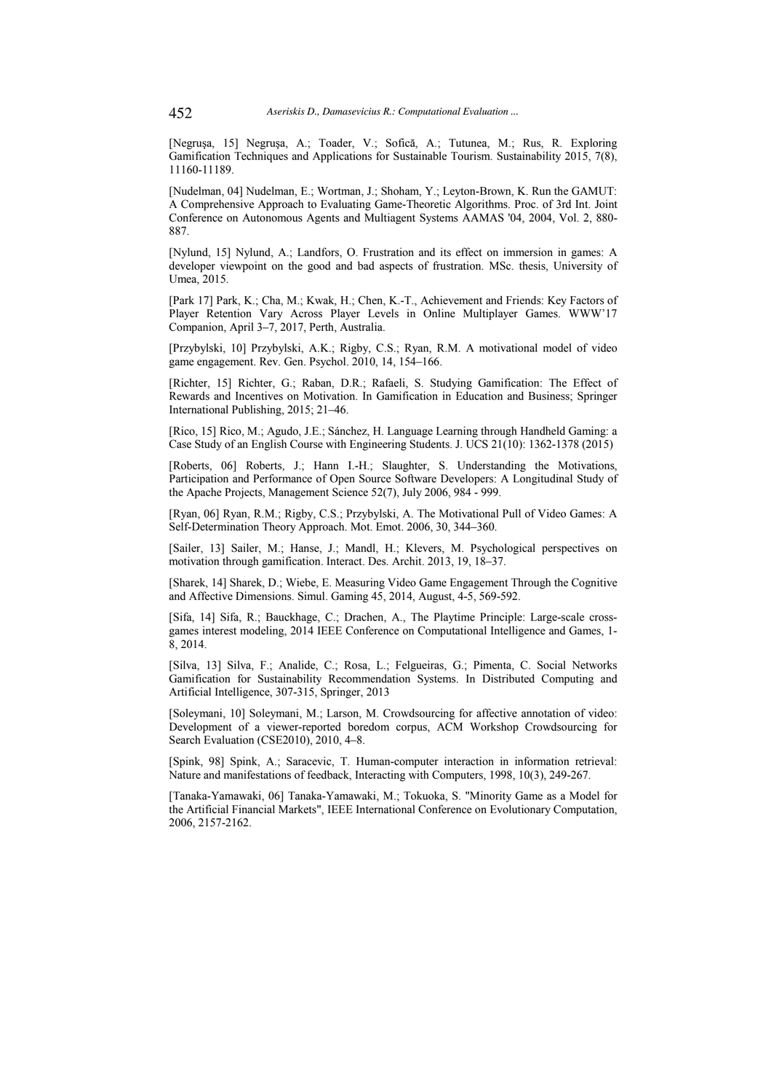[Negruşa, 15] Negruşa, A.; Toader, V.; Sofică, A.; Tutunea, M.; Rus, R. Exploring Gamification Techniques and Applications for Sustainable Tourism. Sustainability 2015, 7(8), 11160-11189.

[Nudelman, 04] Nudelman, E.; Wortman, J.; Shoham, Y.; Leyton-Brown, K. Run the GAMUT: A Comprehensive Approach to Evaluating Game-Theoretic Algorithms. Proc. of 3rd Int. Joint Conference on Autonomous Agents and Multiagent Systems AAMAS '04, 2004, Vol. 2, 880- 887.

[Nylund, 15] Nylund, A.; Landfors, O. Frustration and its effect on immersion in games: A developer viewpoint on the good and bad aspects of frustration. MSc. thesis, University of Umea, 2015.

[Park 17] Park, K.; Cha, M.; Kwak, H.; Chen, K.-T., Achievement and Friends: Key Factors of Player Retention Vary Across Player Levels in Online Multiplayer Games. WWW'17 Companion, April 3–7, 2017, Perth, Australia.

[Przybylski, 10] Przybylski, A.K.; Rigby, C.S.; Ryan, R.M. A motivational model of video game engagement. Rev. Gen. Psychol. 2010, 14, 154–166.

[Richter, 15] Richter, G.; Raban, D.R.; Rafaeli, S. Studying Gamification: The Effect of Rewards and Incentives on Motivation. In Gamification in Education and Business; Springer International Publishing, 2015; 21–46.

[Rico, 15] Rico, M.; Agudo, J.E.; Sánchez, H. Language Learning through Handheld Gaming: a Case Study of an English Course with Engineering Students. J. UCS 21(10): 1362-1378 (2015)

[Roberts, 06] Roberts, J.; Hann I.-H.; Slaughter, S. Understanding the Motivations, Participation and Performance of Open Source Software Developers: A Longitudinal Study of the Apache Projects, Management Science 52(7), July 2006, 984 - 999.

[Ryan, 06] Ryan, R.M.; Rigby, C.S.; Przybylski, A. The Motivational Pull of Video Games: A Self-Determination Theory Approach. Mot. Emot. 2006, 30, 344–360.

[Sailer, 13] Sailer, M.; Hanse, J.; Mandl, H.; Klevers, M. Psychological perspectives on motivation through gamification. Interact. Des. Archit. 2013, 19, 18–37.

[Sharek, 14] Sharek, D.; Wiebe, E. Measuring Video Game Engagement Through the Cognitive and Affective Dimensions. Simul. Gaming 45, 2014, August, 4-5, 569-592.

[Sifa, 14] Sifa, R.; Bauckhage, C.; Drachen, A., The Playtime Principle: Large-scale crossgames interest modeling, 2014 IEEE Conference on Computational Intelligence and Games, 1- 8, 2014.

[Silva, 13] Silva, F.; Analide, C.; Rosa, L.; Felgueiras, G.; Pimenta, C. Social Networks Gamification for Sustainability Recommendation Systems. In Distributed Computing and Artificial Intelligence, 307-315, Springer, 2013

[Soleymani, 10] Soleymani, M.; Larson, M. Crowdsourcing for affective annotation of video: Development of a viewer-reported boredom corpus, ACM Workshop Crowdsourcing for Search Evaluation (CSE2010), 2010, 4–8.

[Spink, 98] Spink, A.; Saracevic, T. Human-computer interaction in information retrieval: Nature and manifestations of feedback, Interacting with Computers, 1998, 10(3), 249-267.

[Tanaka-Yamawaki, 06] Tanaka-Yamawaki, M.; Tokuoka, S. "Minority Game as a Model for the Artificial Financial Markets", IEEE International Conference on Evolutionary Computation, 2006, 2157-2162.